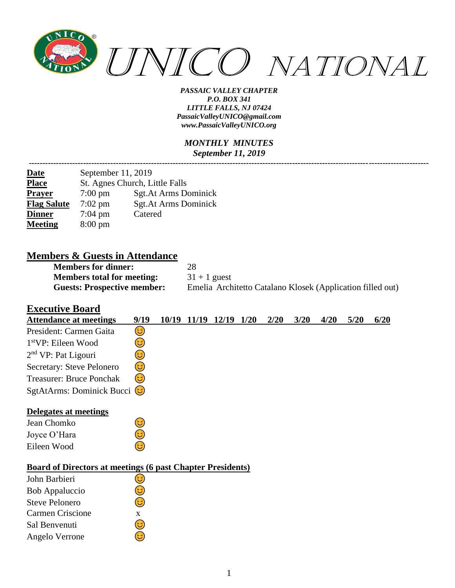

#### *MONTHLY MINUTES September 11, 2019*

*---------------------------------------------------------------------------------------------------------------------------------------------------*

| <b>Date</b>        | September 11, 2019             |                      |  |  |  |  |  |  |  |
|--------------------|--------------------------------|----------------------|--|--|--|--|--|--|--|
| <b>Place</b>       | St. Agnes Church, Little Falls |                      |  |  |  |  |  |  |  |
| <b>Prayer</b>      | $7:00 \text{ pm}$              | Sgt.At Arms Dominick |  |  |  |  |  |  |  |
| <b>Flag Salute</b> | $7:02 \text{ pm}$              | Sgt.At Arms Dominick |  |  |  |  |  |  |  |
| <b>Dinner</b>      | $7:04 \text{ pm}$              | Catered              |  |  |  |  |  |  |  |
| <b>Meeting</b>     | $8:00 \text{ pm}$              |                      |  |  |  |  |  |  |  |

### **Members & Guests in Attendance**

| <b>Members for dinner:</b>         | 28                                                         |
|------------------------------------|------------------------------------------------------------|
| <b>Members total for meeting:</b>  | $31 + 1$ guest                                             |
| <b>Guests: Prospective member:</b> | Emelia Architetto Catalano Klosek (Application filled out) |

### **Executive Board**

| <b>Attendance at meetings</b>                                     | 9/19 | 10/19 | 11/19 | 12/19 | 1/20 | 2/20 | 3/20 | 4/20 | 5/20 | 6/20 |
|-------------------------------------------------------------------|------|-------|-------|-------|------|------|------|------|------|------|
| President: Carmen Gaita                                           | 3)   |       |       |       |      |      |      |      |      |      |
| 1 <sup>st</sup> VP: Eileen Wood                                   | 3    |       |       |       |      |      |      |      |      |      |
| $2nd$ VP: Pat Ligouri                                             | 3    |       |       |       |      |      |      |      |      |      |
| Secretary: Steve Pelonero                                         | ٢    |       |       |       |      |      |      |      |      |      |
| <b>Treasurer: Bruce Ponchak</b>                                   | 3    |       |       |       |      |      |      |      |      |      |
| SgtAtArms: Dominick Bucci (C)                                     |      |       |       |       |      |      |      |      |      |      |
| Delegates at meetings                                             |      |       |       |       |      |      |      |      |      |      |
| Jean Chomko                                                       | 3)   |       |       |       |      |      |      |      |      |      |
| Joyce O'Hara                                                      | فأ   |       |       |       |      |      |      |      |      |      |
| Eileen Wood                                                       | 3    |       |       |       |      |      |      |      |      |      |
| <b>Board of Directors at meetings (6 past Chapter Presidents)</b> |      |       |       |       |      |      |      |      |      |      |
| John Barbieri                                                     | 3    |       |       |       |      |      |      |      |      |      |
| Bob Appaluccio                                                    | ی    |       |       |       |      |      |      |      |      |      |
| <b>Steve Pelonero</b>                                             | 3)   |       |       |       |      |      |      |      |      |      |
| <b>Carmen Criscione</b>                                           | X    |       |       |       |      |      |      |      |      |      |
| Sal Benvenuti                                                     | ತಿ   |       |       |       |      |      |      |      |      |      |
| Angelo Verrone                                                    | G    |       |       |       |      |      |      |      |      |      |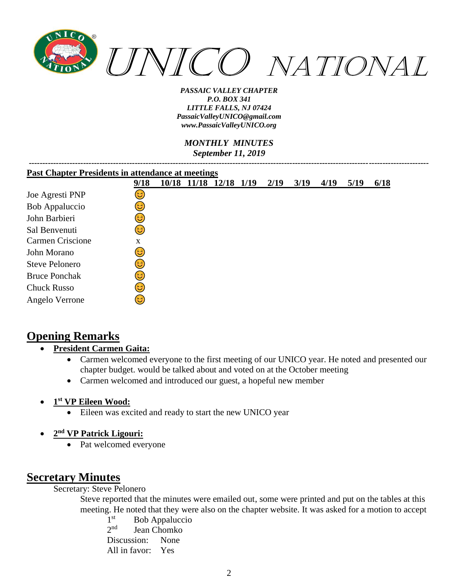

*MONTHLY MINUTES September 11, 2019*

| <b>Past Chapter Presidents in attendance at meetings</b> |      |       |       |       |      |      |      |      |      |      |
|----------------------------------------------------------|------|-------|-------|-------|------|------|------|------|------|------|
|                                                          | 9/18 | 10/18 | 11/18 | 12/18 | 1/19 | 2/19 | 3/19 | 4/19 | 5/19 | 6/18 |
| Joe Agresti PNP                                          | 3)   |       |       |       |      |      |      |      |      |      |
| Bob Appaluccio                                           | 3    |       |       |       |      |      |      |      |      |      |
| John Barbieri                                            | ಡಿ   |       |       |       |      |      |      |      |      |      |
| Sal Benvenuti                                            | 3    |       |       |       |      |      |      |      |      |      |
| Carmen Criscione                                         | X    |       |       |       |      |      |      |      |      |      |
| John Morano                                              | 6    |       |       |       |      |      |      |      |      |      |
| <b>Steve Pelonero</b>                                    | ಡಿ   |       |       |       |      |      |      |      |      |      |
| <b>Bruce Ponchak</b>                                     | 3    |       |       |       |      |      |      |      |      |      |
| <b>Chuck Russo</b>                                       | ಡಿ   |       |       |       |      |      |      |      |      |      |
| Angelo Verrone                                           | ی    |       |       |       |      |      |      |      |      |      |

## **Opening Remarks**

### • **President Carmen Gaita:**

- Carmen welcomed everyone to the first meeting of our UNICO year. He noted and presented our chapter budget. would be talked about and voted on at the October meeting
- Carmen welcomed and introduced our guest, a hopeful new member

- Eileen was excited and ready to start the new UNICO year
- **2 nd VP Patrick Ligouri:**
	- Pat welcomed everyone

# **Secretary Minutes**

Secretary: Steve Pelonero

Steve reported that the minutes were emailed out, some were printed and put on the tables at this meeting. He noted that they were also on the chapter website. It was asked for a motion to accept

1<sup>st</sup> Bob Appaluccio  $2<sub>nd</sub>$ Jean Chomko Discussion: None All in favor: Yes

<sup>•</sup> **1 st VP Eileen Wood:**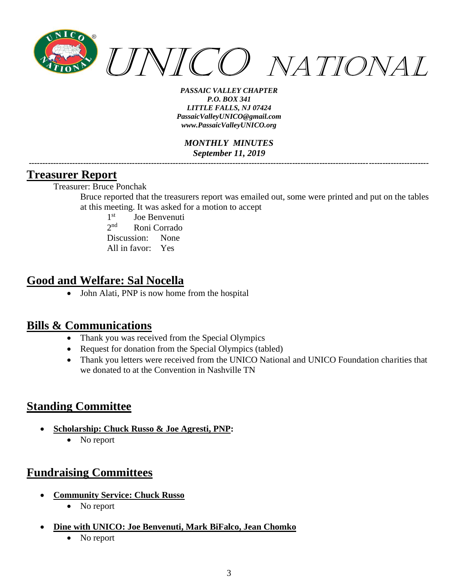

*MONTHLY MINUTES September 11, 2019 ---------------------------------------------------------------------------------------------------------------------------------------------------*

### **Treasurer Report**

Treasurer: Bruce Ponchak

Bruce reported that the treasurers report was emailed out, some were printed and put on the tables at this meeting. It was asked for a motion to accept

 $1<sup>st</sup>$ Joe Benvenuti  $2<sub>nd</sub>$ Roni Corrado Discussion: None All in favor: Yes

## **Good and Welfare: Sal Nocella**

• John Alati, PNP is now home from the hospital

## **Bills & Communications**

- Thank you was received from the Special Olympics
- Request for donation from the Special Olympics (tabled)
- Thank you letters were received from the UNICO National and UNICO Foundation charities that we donated to at the Convention in Nashville TN

# **Standing Committee**

- **Scholarship: Chuck Russo & Joe Agresti, PNP:**
	- No report

# **Fundraising Committees**

- **Community Service: Chuck Russo**
	- No report
- **Dine with UNICO: Joe Benvenuti, Mark BiFalco, Jean Chomko**
	- No report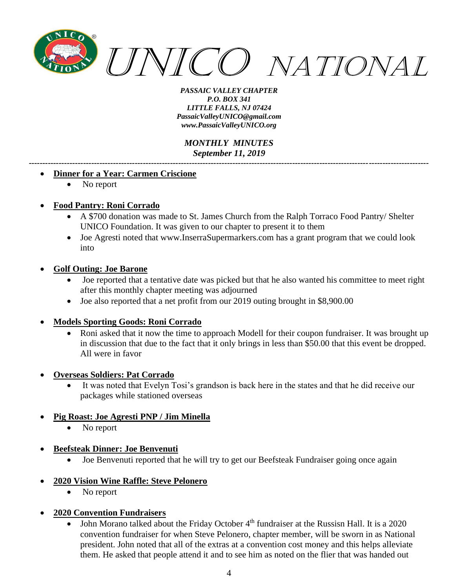

*MONTHLY MINUTES September 11, 2019 ---------------------------------------------------------------------------------------------------------------------------------------------------*

#### • **Dinner for a Year: Carmen Criscione**

No report

#### • **Food Pantry: Roni Corrado**

- A \$700 donation was made to St. James Church from the Ralph Torraco Food Pantry/ Shelter UNICO Foundation. It was given to our chapter to present it to them
- Joe Agresti noted that www.InserraSupermarkers.com has a grant program that we could look into

#### • **Golf Outing: Joe Barone**

- Joe reported that a tentative date was picked but that he also wanted his committee to meet right after this monthly chapter meeting was adjourned
- Joe also reported that a net profit from our 2019 outing brought in \$8,900.00

#### • **Models Sporting Goods: Roni Corrado**

- Roni asked that it now the time to approach Modell for their coupon fundraiser. It was brought up in discussion that due to the fact that it only brings in less than \$50.00 that this event be dropped. All were in favor
- **Overseas Soldiers: Pat Corrado**
	- It was noted that Evelyn Tosi's grandson is back here in the states and that he did receive our packages while stationed overseas
- **Pig Roast: Joe Agresti PNP / Jim Minella**
	- No report
- **Beefsteak Dinner: Joe Benvenuti**
	- Joe Benvenuti reported that he will try to get our Beefsteak Fundraiser going once again
- **2020 Vision Wine Raffle: Steve Pelonero**
	- No report
- **2020 Convention Fundraisers**
	- John Morano talked about the Friday October 4<sup>th</sup> fundraiser at the Russisn Hall. It is a 2020 convention fundraiser for when Steve Pelonero, chapter member, will be sworn in as National president. John noted that all of the extras at a convention cost money and this helps alleviate them. He asked that people attend it and to see him as noted on the flier that was handed out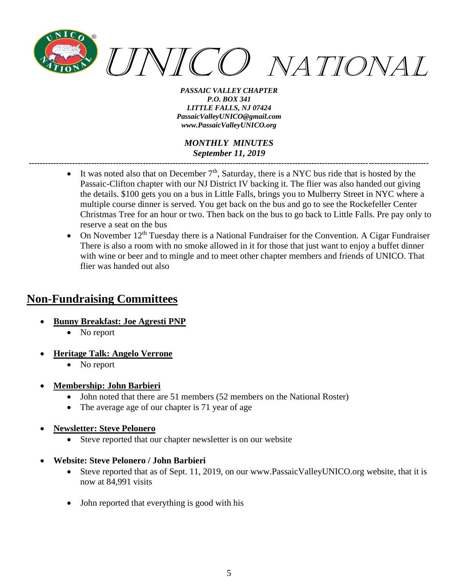

*MONTHLY MINUTES September 11, 2019 ---------------------------------------------------------------------------------------------------------------------------------------------------*

- It was noted also that on December  $7<sup>th</sup>$ , Saturday, there is a NYC bus ride that is hosted by the Passaic-Clifton chapter with our NJ District IV backing it. The flier was also handed out giving the details. \$100 gets you on a bus in Little Falls, brings you to Mulberry Street in NYC where a multiple course dinner is served. You get back on the bus and go to see the Rockefeller Center Christmas Tree for an hour or two. Then back on the bus to go back to Little Falls. Pre pay only to reserve a seat on the bus
- On November  $12<sup>th</sup>$  Tuesday there is a National Fundraiser for the Convention. A Cigar Fundraiser There is also a room with no smoke allowed in it for those that just want to enjoy a buffet dinner with wine or beer and to mingle and to meet other chapter members and friends of UNICO. That flier was handed out also

## **Non-Fundraising Committees**

- **Bunny Breakfast: Joe Agresti PNP**
	- No report
- **Heritage Talk: Angelo Verrone**
	- No report
- **Membership: John Barbieri**
	- John noted that there are 51 members (52 members on the National Roster)
	- The average age of our chapter is 71 year of age
- **Newsletter: Steve Pelonero**
	- Steve reported that our chapter newsletter is on our website
- **Website: Steve Pelonero / John Barbieri**
	- Steve reported that as of Sept. 11, 2019, on our [www.PassaicValleyUNICO.org](http://www.passaicvalleyunico.org/) website, that it is now at 84,991 visits
	- John reported that everything is good with his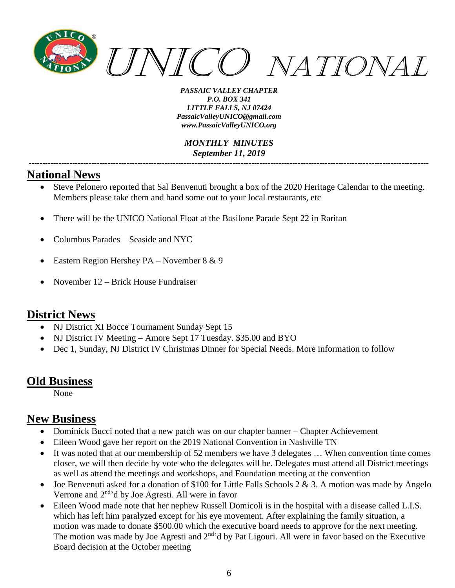

*MONTHLY MINUTES September 11, 2019 ---------------------------------------------------------------------------------------------------------------------------------------------------*

## **National News**

- Steve Pelonero reported that Sal Benvenuti brought a box of the 2020 Heritage Calendar to the meeting. Members please take them and hand some out to your local restaurants, etc
- There will be the UNICO National Float at the Basilone Parade Sept 22 in Raritan
- Columbus Parades Seaside and NYC
- Eastern Region Hershey PA November 8 & 9
- November 12 Brick House Fundraiser

### **District News**

- NJ District XI Bocce Tournament Sunday Sept 15
- NJ District IV Meeting Amore Sept 17 Tuesday. \$35.00 and BYO
- Dec 1, Sunday, NJ District IV Christmas Dinner for Special Needs. More information to follow

### **Old Business**

None

## **New Business**

- Dominick Bucci noted that a new patch was on our chapter banner Chapter Achievement
- Eileen Wood gave her report on the 2019 National Convention in Nashville TN
- It was noted that at our membership of 52 members we have 3 delegates ... When convention time comes closer, we will then decide by vote who the delegates will be. Delegates must attend all District meetings as well as attend the meetings and workshops, and Foundation meeting at the convention
- Joe Benvenuti asked for a donation of \$100 for Little Falls Schools 2 & 3. A motion was made by Angelo Verrone and  $2<sup>nd</sup>$ <sup>d</sup> by Joe Agresti. All were in favor
- Eileen Wood made note that her nephew Russell Domicoli is in the hospital with a disease called L.I.S. which has left him paralyzed except for his eye movement. After explaining the family situation, a motion was made to donate \$500.00 which the executive board needs to approve for the next meeting. The motion was made by Joe Agresti and  $2<sup>nd</sup>$ d by Pat Ligouri. All were in favor based on the Executive Board decision at the October meeting